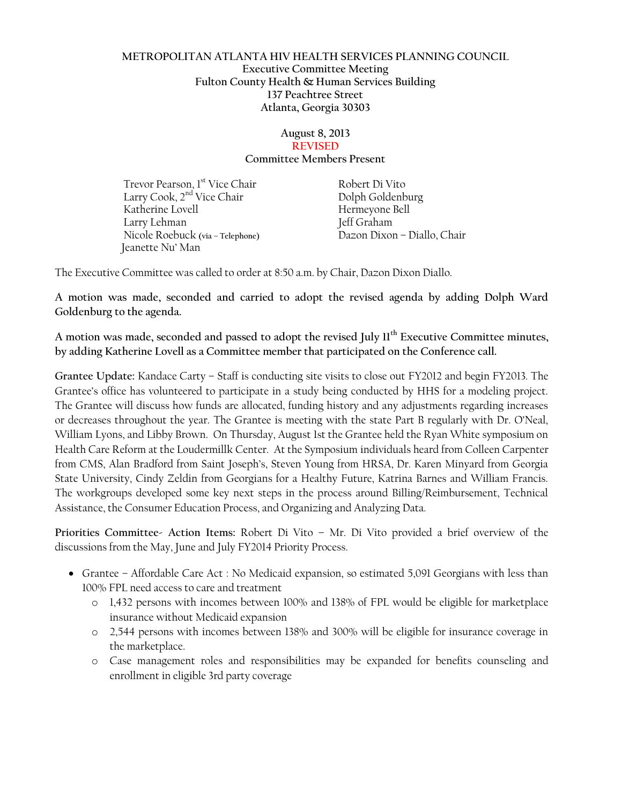### **METROPOLITAN ATLANTA HIV HEALTH SERVICES PLANNING COUNCIL Executive Committee Meeting Fulton County Health & Human Services Building 137 Peachtree Street Atlanta, Georgia 30303**

#### **August 8, 2013 REVISED Committee Members Present**

Trevor Pearson, 1<sup>st</sup> Vice Chair **Robert Di Vito** Larry Cook,  $2<sup>nd</sup>$  Vice Chair Dolph Goldenburg Katherine Lovell **Hermeyone Bell** Larry Lehman Jeff Graham Nicole Roebuck **(via – Telephone)** Dazon Dixon – Diallo, Chair Jeanette Nu' Man

The Executive Committee was called to order at 8:50 a.m. by Chair, Dazon Dixon Diallo.

**A motion was made, seconded and carried to adopt the revised agenda by adding Dolph Ward Goldenburg to the agenda.**

**A motion was made, seconded and passed to adopt the revised July 11th Executive Committee minutes, by adding Katherine Lovell as a Committee member that participated on the Conference call.** 

**Grantee Update:** Kandace Carty – Staff is conducting site visits to close out FY2012 and begin FY2013. The Grantee's office has volunteered to participate in a study being conducted by HHS for a modeling project. The Grantee will discuss how funds are allocated, funding history and any adjustments regarding increases or decreases throughout the year. The Grantee is meeting with the state Part B regularly with Dr. O'Neal, William Lyons, and Libby Brown. On Thursday, August 1st the Grantee held the Ryan White symposium on Health Care Reform at the Loudermillk Center. At the Symposium individuals heard from Colleen Carpenter from CMS, Alan Bradford from Saint Joseph's, Steven Young from HRSA, Dr. Karen Minyard from Georgia State University, Cindy Zeldin from Georgians for a Healthy Future, Katrina Barnes and William Francis. The workgroups developed some key next steps in the process around Billing/Reimbursement, Technical Assistance, the Consumer Education Process, and Organizing and Analyzing Data.

**Priorities Committee- Action Items:** Robert Di Vito **–** Mr. Di Vito provided a brief overview of the discussions from the May, June and July FY2014 Priority Process.

- Grantee Affordable Care Act : No Medicaid expansion, so estimated 5,091 Georgians with less than 100% FPL need access to care and treatment
	- o 1,432 persons with incomes between 100% and 138% of FPL would be eligible for marketplace insurance without Medicaid expansion
	- o 2,544 persons with incomes between 138% and 300% will be eligible for insurance coverage in the marketplace.
	- o Case management roles and responsibilities may be expanded for benefits counseling and enrollment in eligible 3rd party coverage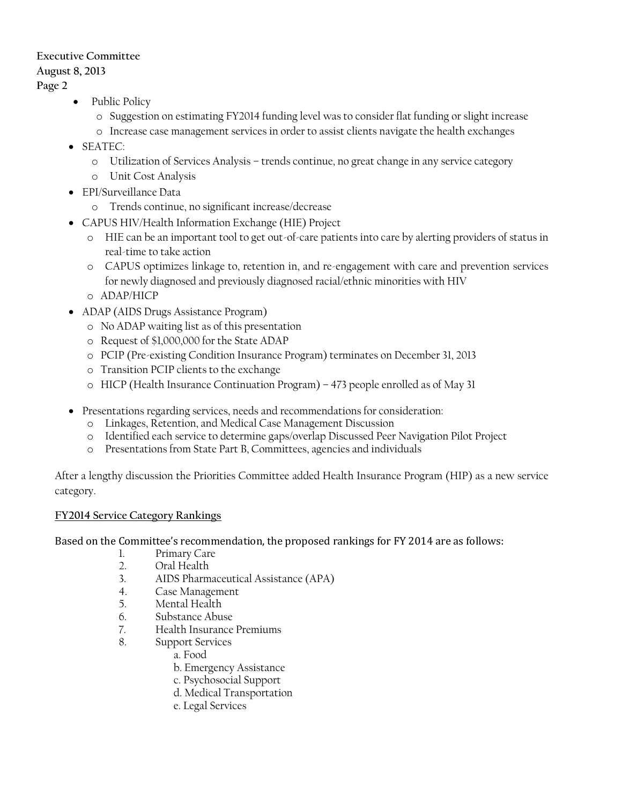## **Executive Committee**

## **August 8, 2013**

**Page 2**

- Public Policy
	- o Suggestion on estimating FY2014 funding level was to consider flat funding or slight increase
	- o Increase case management services in order to assist clients navigate the health exchanges
- SEATEC:
	- o Utilization of Services Analysis trends continue, no great change in any service category
	- o Unit Cost Analysis
- EPI/Surveillance Data
	- o Trends continue, no significant increase/decrease
- CAPUS HIV/Health Information Exchange (HIE) Project
	- o HIE can be an important tool to get out-of-care patients into care by alerting providers of status in real-time to take action
	- o CAPUS optimizes linkage to, retention in, and re-engagement with care and prevention services for newly diagnosed and previously diagnosed racial/ethnic minorities with HIV
	- o ADAP/HICP
- ADAP (AIDS Drugs Assistance Program)
	- o No ADAP waiting list as of this presentation
	- o Request of \$1,000,000 for the State ADAP
	- o PCIP (Pre-existing Condition Insurance Program) terminates on December 31, 2013
	- o Transition PCIP clients to the exchange
	- o HICP (Health Insurance Continuation Program) 473 people enrolled as of May 31
- Presentations regarding services, needs and recommendations for consideration:
	- o Linkages, Retention, and Medical Case Management Discussion
	- o Identified each service to determine gaps/overlap Discussed Peer Navigation Pilot Project
	- o Presentations from State Part B, Committees, agencies and individuals

After a lengthy discussion the Priorities Committee added Health Insurance Program (HIP) as a new service category.

# **FY2014 Service Category Rankings**

Based on the Committee's recommendation, the proposed rankings for FY 2014 are as follows:

- 1. Primary Care
- 2. Oral Health
- 3. AIDS Pharmaceutical Assistance (APA)
- 4. Case Management
- 5. Mental Health
- 6. Substance Abuse
- 7. Health Insurance Premiums
- 8. Support Services
	- a. Food
	- b. Emergency Assistance
	- c. Psychosocial Support
	- d. Medical Transportation
	- e. Legal Services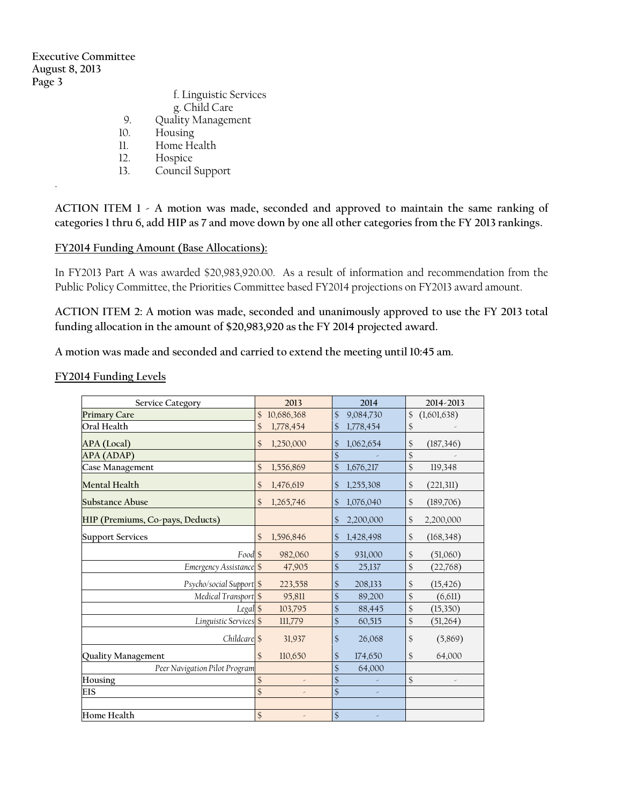**Executive Committee August 8, 2013 Page 3** 

.

|              | f. Linguistic Services<br>g. Child Care |
|--------------|-----------------------------------------|
| 9.           | Quality Management                      |
| 10.          | Housing                                 |
| 11           | Home Health                             |
| $12^{\circ}$ | Hospice                                 |

13. Council Support

**ACTION ITEM 1 - A motion was made, seconded and approved to maintain the same ranking of categories 1 thru 6, add HIP as 7 and move down by one all other categories from the FY 2013 rankings.**

#### **FY2014 Funding Amount (Base Allocations):**

In FY2013 Part A was awarded \$20,983,920.00. As a result of information and recommendation from the Public Policy Committee, the Priorities Committee based FY2014 projections on FY2013 award amount.

**ACTION ITEM 2: A motion was made, seconded and unanimously approved to use the FY 2013 total funding allocation in the amount of \$20,983,920 as the FY 2014 projected award.**

**A motion was made and seconded and carried to extend the meeting until 10:45 am.**

**FY2014 Funding Levels**

| <b>Service Category</b>           | 2013                        |                                           | 2014      | 2014-2013         |  |
|-----------------------------------|-----------------------------|-------------------------------------------|-----------|-------------------|--|
| <b>Primary Care</b>               | 10,686,368<br>$\mathcal{S}$ | $\mathcal{S}$                             | 9,084,730 | \$<br>(1,601,638) |  |
| Oral Health                       | \$<br>1,778,454             | \$                                        | 1,778,454 | \$                |  |
| APA (Local)                       | \$<br>1,250,000             | \$                                        | 1,062,654 | \$<br>(187, 346)  |  |
| APA (ADAP)                        |                             | \$                                        |           | \$                |  |
| Case Management                   | \$<br>1,556,869             | $\mathcal{S}$                             | 1,676,217 | \$<br>119,348     |  |
| Mental Health                     | \$<br>1,476,619             | \$                                        | 1,255,308 | \$<br>(221,311)   |  |
| <b>Substance Abuse</b>            | \$<br>1,265,746             | \$                                        | 1,076,040 | \$<br>(189,706)   |  |
| HIP (Premiums, Co-pays, Deducts)  |                             | \$                                        | 2,200,000 | \$<br>2,200,000   |  |
| <b>Support Services</b>           | 1,596,846<br>\$             | \$                                        | 1,428,498 | \$<br>(168, 348)  |  |
| Food \$                           | 982,060                     | \$                                        | 931,000   | \$<br>(51,060)    |  |
| Emergency Assistance \$           | 47,905                      | $\frac{1}{2}$                             | 25,137    | \$<br>(22,768)    |  |
| Psycho/social Support \$          | 223,558                     | $\mathfrak{S}$                            | 208,133   | (15, 426)<br>\$   |  |
| Medical Transport \$              | 95,811                      | \$                                        | 89,200    | \$<br>(6,611)     |  |
| Legal \$                          | 103,795                     | \$                                        | 88,445    | \$<br>(15,350)    |  |
| Linguistic Services <sup>\$</sup> | 111,779                     | $\frac{1}{2}$                             | 60,515    | \$<br>(51,264)    |  |
| Childcare <sup>\$</sup>           | 31,937                      | \$                                        | 26,068    | \$<br>(5,869)     |  |
| Quality Management                | 110,650<br>$\mathcal{S}$    | \$                                        | 174,650   | 64,000<br>\$      |  |
| Peer Navigation Pilot Program     |                             | \$                                        | 64,000    |                   |  |
| Housing                           | \$                          | $\frac{1}{2}$<br>$\overline{\phantom{a}}$ |           | \$<br>×,          |  |
| <b>EIS</b>                        | \$                          | $\frac{1}{2}$<br>$\overline{\phantom{a}}$ |           |                   |  |
|                                   |                             |                                           |           |                   |  |
| Home Health                       | \$                          | $\frac{1}{2}$<br>$\overline{\phantom{a}}$ |           |                   |  |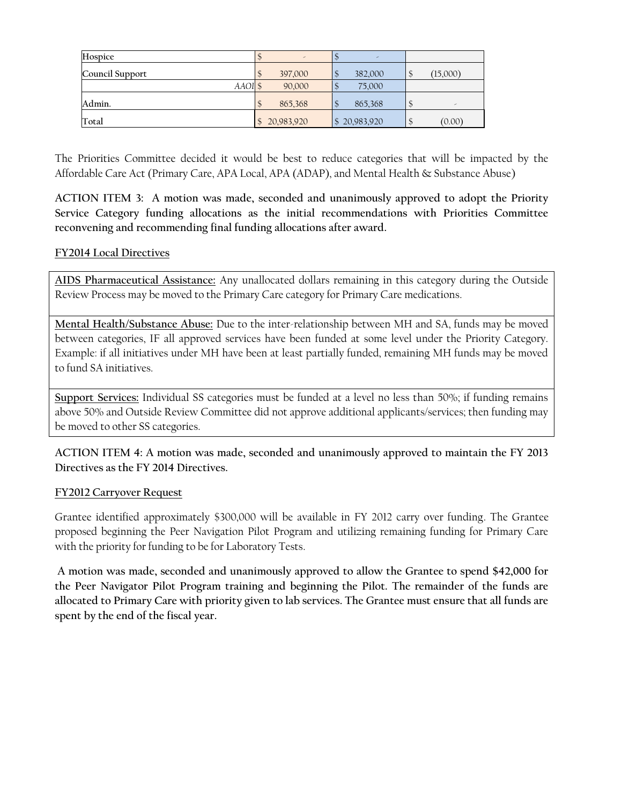| Hospice            | -          | -            |                          |
|--------------------|------------|--------------|--------------------------|
| Council Support    | 397,000    | 382,000      | (15,000)                 |
| AAOI <sup>\$</sup> | 90,000     | 75,000       |                          |
| Admin.             | 865,368    | 865,368      | $\overline{\phantom{a}}$ |
| Total              | 20,983,920 | \$20,983,920 | (0.00)                   |

The Priorities Committee decided it would be best to reduce categories that will be impacted by the Affordable Care Act (Primary Care, APA Local, APA (ADAP), and Mental Health & Substance Abuse)

**ACTION ITEM 3: A motion was made, seconded and unanimously approved to adopt the Priority Service Category funding allocations as the initial recommendations with Priorities Committee reconvening and recommending final funding allocations after award.**

## **FY2014 Local Directives**

**AIDS Pharmaceutical Assistance:** Any unallocated dollars remaining in this category during the Outside Review Process may be moved to the Primary Care category for Primary Care medications.

**Mental Health/Substance Abuse:** Due to the inter-relationship between MH and SA, funds may be moved between categories, IF all approved services have been funded at some level under the Priority Category. Example: if all initiatives under MH have been at least partially funded, remaining MH funds may be moved to fund SA initiatives.

**Support Services:** Individual SS categories must be funded at a level no less than 50%; if funding remains above 50% and Outside Review Committee did not approve additional applicants/services; then funding may be moved to other SS categories.

**ACTION ITEM 4: A motion was made, seconded and unanimously approved to maintain the FY 2013 Directives as the FY 2014 Directives.**

#### **FY2012 Carryover Request**

Grantee identified approximately \$300,000 will be available in FY 2012 carry over funding. The Grantee proposed beginning the Peer Navigation Pilot Program and utilizing remaining funding for Primary Care with the priority for funding to be for Laboratory Tests.

**A motion was made, seconded and unanimously approved to allow the Grantee to spend \$42,000 for the Peer Navigator Pilot Program training and beginning the Pilot. The remainder of the funds are allocated to Primary Care with priority given to lab services. The Grantee must ensure that all funds are spent by the end of the fiscal year.**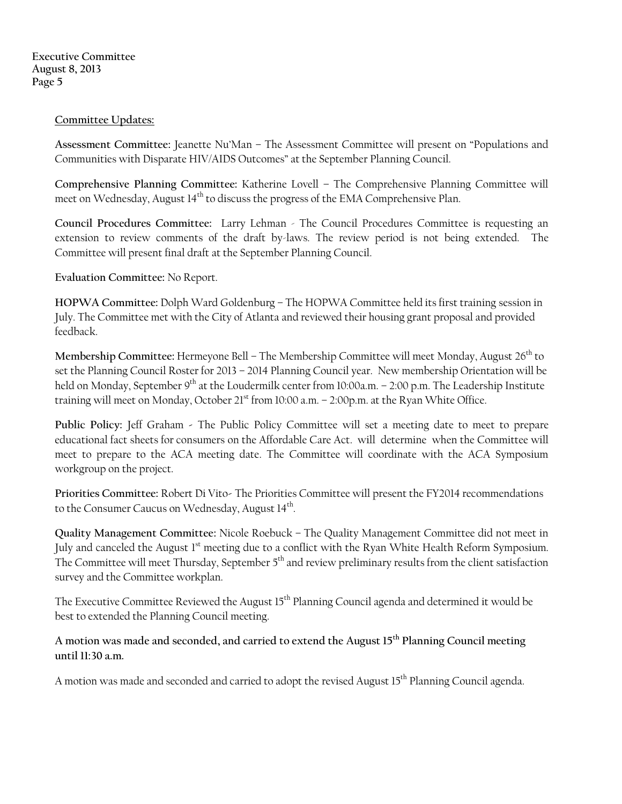**Executive Committee August 8, 2013 Page 5**

## **Committee Updates:**

**Assessment Committee:** Jeanette Nu'Man – The Assessment Committee will present on "Populations and Communities with Disparate HIV/AIDS Outcomes" at the September Planning Council.

**Comprehensive Planning Committee:** Katherine Lovell **–** The Comprehensive Planning Committee will meet on Wednesday, August  $14<sup>th</sup>$  to discuss the progress of the EMA Comprehensive Plan.

**Council Procedures Committee:** Larry Lehman - The Council Procedures Committee is requesting an extension to review comments of the draft by-laws. The review period is not being extended. The Committee will present final draft at the September Planning Council.

**Evaluation Committee:** No Report.

**HOPWA Committee:** Dolph Ward Goldenburg – The HOPWA Committee held its first training session in July. The Committee met with the City of Atlanta and reviewed their housing grant proposal and provided feedback.

Membership Committee: Hermeyone Bell – The Membership Committee will meet Monday, August 26<sup>th</sup> to set the Planning Council Roster for 2013 – 2014 Planning Council year. New membership Orientation will be held on Monday, September 9<sup>th</sup> at the Loudermilk center from 10:00a.m. – 2:00 p.m. The Leadership Institute training will meet on Monday, October  $21<sup>st</sup>$  from 10:00 a.m.  $-$  2:00p.m. at the Ryan White Office.

**Public Policy:** Jeff Graham **-** The Public Policy Committee will set a meeting date to meet to prepare educational fact sheets for consumers on the Affordable Care Act. will determine when the Committee will meet to prepare to the ACA meeting date. The Committee will coordinate with the ACA Symposium workgroup on the project.

**Priorities Committee:** Robert Di Vito**-** The Priorities Committee will present the FY2014 recommendations to the Consumer Caucus on Wednesday, August  $14^{\text{th}}$ .

**Quality Management Committee:** Nicole Roebuck – The Quality Management Committee did not meet in July and canceled the August 1<sup>st</sup> meeting due to a conflict with the Ryan White Health Reform Symposium. The Committee will meet Thursday, September 5<sup>th</sup> and review preliminary results from the client satisfaction survey and the Committee workplan.

The Executive Committee Reviewed the August 15<sup>th</sup> Planning Council agenda and determined it would be best to extended the Planning Council meeting.

**A motion was made and seconded, and carried to extend the August 15th Planning Council meeting until 11:30 a.m.** 

A motion was made and seconded and carried to adopt the revised August 15<sup>th</sup> Planning Council agenda.